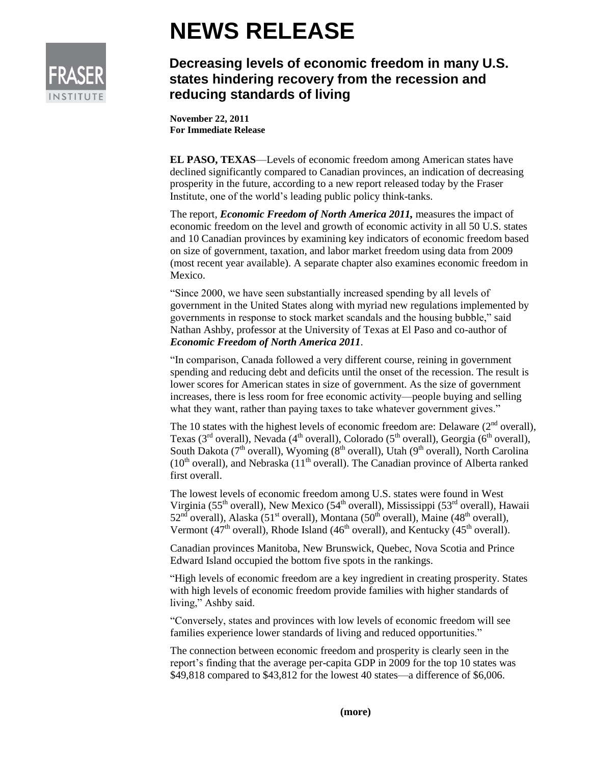

## **NEWS RELEASE**

## **Decreasing levels of economic freedom in many U.S. states hindering recovery from the recession and reducing standards of living**

**November 22, 2011 For Immediate Release**

**EL PASO, TEXAS**—Levels of economic freedom among American states have declined significantly compared to Canadian provinces, an indication of decreasing prosperity in the future, according to a new report released today by the Fraser Institute, one of the world's leading public policy think-tanks.

The report, *Economic Freedom of North America 2011,* measures the impact of economic freedom on the level and growth of economic activity in all 50 U.S. states and 10 Canadian provinces by examining key indicators of economic freedom based on size of government, taxation, and labor market freedom using data from 2009 (most recent year available). A separate chapter also examines economic freedom in Mexico.

"Since 2000, we have seen substantially increased spending by all levels of government in the United States along with myriad new regulations implemented by governments in response to stock market scandals and the housing bubble," said Nathan Ashby, professor at the University of Texas at El Paso and co-author of *Economic Freedom of North America 2011*.

"In comparison, Canada followed a very different course, reining in government spending and reducing debt and deficits until the onset of the recession. The result is lower scores for American states in size of government. As the size of government increases, there is less room for free economic activity—people buying and selling what they want, rather than paying taxes to take whatever government gives."

The 10 states with the highest levels of economic freedom are: Delaware  $(2<sup>nd</sup>$  overall), Texas ( $3<sup>rd</sup>$  overall), Nevada ( $4<sup>th</sup>$  overall), Colorado ( $5<sup>th</sup>$  overall), Georgia ( $6<sup>th</sup>$  overall), South Dakota ( $7<sup>th</sup>$  overall), Wyoming ( $8<sup>th</sup>$  overall), Utah ( $9<sup>th</sup>$  overall), North Carolina  $(10<sup>th</sup> overall)$ , and Nebraska  $(11<sup>th</sup> overall)$ . The Canadian province of Alberta ranked first overall.

The lowest levels of economic freedom among U.S. states were found in West Virginia (55<sup>th</sup> overall), New Mexico (54<sup>th</sup> overall), Mississippi (53<sup>rd</sup> overall), Hawaii  $52<sup>nd</sup>$  overall), Alaska (51<sup>st</sup> overall), Montana (50<sup>th</sup> overall), Maine (48<sup>th</sup> overall), Vermont (47<sup>th</sup> overall), Rhode Island (46<sup>th</sup> overall), and Kentucky (45<sup>th</sup> overall).

Canadian provinces Manitoba, New Brunswick, Quebec, Nova Scotia and Prince Edward Island occupied the bottom five spots in the rankings.

"High levels of economic freedom are a key ingredient in creating prosperity. States with high levels of economic freedom provide families with higher standards of living," Ashby said.

"Conversely, states and provinces with low levels of economic freedom will see families experience lower standards of living and reduced opportunities."

The connection between economic freedom and prosperity is clearly seen in the report's finding that the average per-capita GDP in 2009 for the top 10 states was \$49,818 compared to \$43,812 for the lowest 40 states—a difference of \$6,006.